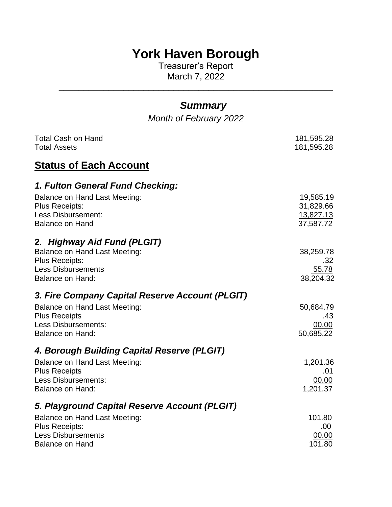# **York Haven Borough**

Treasurer's Report March 7, 2022

**\_\_\_\_\_\_\_\_\_\_\_\_\_\_\_\_\_\_\_\_\_\_\_\_\_\_\_\_\_\_\_\_\_\_\_\_\_\_\_\_\_\_\_\_\_\_\_\_\_\_\_\_\_\_\_**

| <b>Summary</b><br>Month of February 2022                                                                                                                          |                                                  |  |
|-------------------------------------------------------------------------------------------------------------------------------------------------------------------|--------------------------------------------------|--|
| <b>Total Cash on Hand</b><br><b>Total Assets</b>                                                                                                                  | <u>181,595.28</u><br>181,595.28                  |  |
| <b>Status of Each Account</b>                                                                                                                                     |                                                  |  |
| 1. Fulton General Fund Checking:<br>Balance on Hand Last Meeting:<br><b>Plus Receipts:</b><br>Less Disbursement:<br><b>Balance on Hand</b>                        | 19,585.19<br>31,829.66<br>13,827.13<br>37,587.72 |  |
| 2. Highway Aid Fund (PLGIT)<br>Balance on Hand Last Meeting:<br>Plus Receipts:<br><b>Less Disbursements</b><br><b>Balance on Hand:</b>                            | 38,259.78<br>.32<br>55.78<br>38,204.32           |  |
| 3. Fire Company Capital Reserve Account (PLGIT)<br>Balance on Hand Last Meeting:<br><b>Plus Receipts</b><br><b>Less Disbursements:</b><br><b>Balance on Hand:</b> | 50,684.79<br>.43<br>00.00<br>50,685.22           |  |
| 4. Borough Building Capital Reserve (PLGIT)<br>Balance on Hand Last Meeting:<br><b>Plus Receipts</b><br><b>Less Disbursements:</b><br><b>Balance on Hand:</b>     | 1,201.36<br>.01<br>00.00<br>1,201.37             |  |
| 5. Playground Capital Reserve Account (PLGIT)<br><b>Balance on Hand Last Meeting:</b><br><b>Plus Receipts:</b><br><b>Less Disbursements</b>                       | 101.80<br>.00<br>00.00                           |  |
| <b>Balance on Hand</b>                                                                                                                                            | 101.80                                           |  |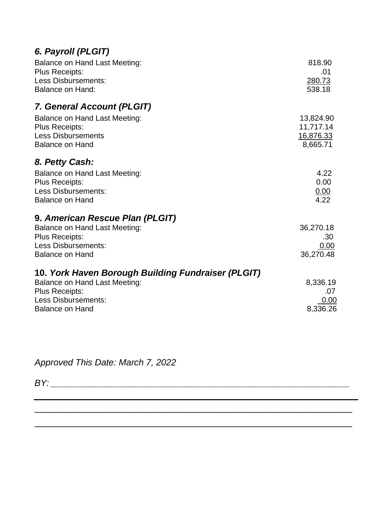| 6. Payroll (PLGIT) |  |
|--------------------|--|
|--------------------|--|

| Balance on Hand Last Meeting:<br><b>Plus Receipts:</b><br><b>Less Disbursements:</b><br><b>Balance on Hand:</b>                                                             | 818.90<br>.01<br>280.73<br>538.18               |
|-----------------------------------------------------------------------------------------------------------------------------------------------------------------------------|-------------------------------------------------|
| 7. General Account (PLGIT)                                                                                                                                                  |                                                 |
| <b>Balance on Hand Last Meeting:</b><br><b>Plus Receipts:</b><br><b>Less Disbursements</b><br><b>Balance on Hand</b>                                                        | 13,824.90<br>11,717.14<br>16,876.33<br>8,665.71 |
| 8. Petty Cash:                                                                                                                                                              |                                                 |
| <b>Balance on Hand Last Meeting:</b><br><b>Plus Receipts:</b><br><b>Less Disbursements:</b><br><b>Balance on Hand</b>                                                       | 4.22<br>0.00<br>0.00<br>4.22                    |
| 9. American Rescue Plan (PLGIT)<br><b>Balance on Hand Last Meeting:</b><br>Plus Receipts:<br><b>Less Disbursements:</b><br><b>Balance on Hand</b>                           | 36,270.18<br>.30<br><u>0.00</u><br>36,270.48    |
| 10. York Haven Borough Building Fundraiser (PLGIT)<br><b>Balance on Hand Last Meeting:</b><br><b>Plus Receipts:</b><br><b>Less Disbursements:</b><br><b>Balance on Hand</b> | 8,336.19<br>.07<br>0.00<br>8,336.26             |

\_\_\_\_\_\_\_\_\_\_\_\_\_\_\_\_\_\_\_\_\_\_\_\_\_\_\_\_\_\_\_\_\_\_\_\_\_\_\_\_\_\_\_\_\_\_\_\_\_\_\_\_\_\_\_\_\_\_\_\_\_\_

\_\_\_\_\_\_\_\_\_\_\_\_\_\_\_\_\_\_\_\_\_\_\_\_\_\_\_\_\_\_\_\_\_\_\_\_\_\_\_\_\_\_\_\_\_\_\_\_\_\_\_\_\_\_\_\_\_\_\_\_\_\_

*Approved This Date: March 7, 2022*

*BY: \_\_\_\_\_\_\_\_\_\_\_\_\_\_\_\_\_\_\_\_\_\_\_\_\_\_\_\_\_\_\_\_\_\_\_\_\_\_\_\_\_\_\_\_\_\_\_\_\_\_\_\_\_\_\_\_\_\_\_\_*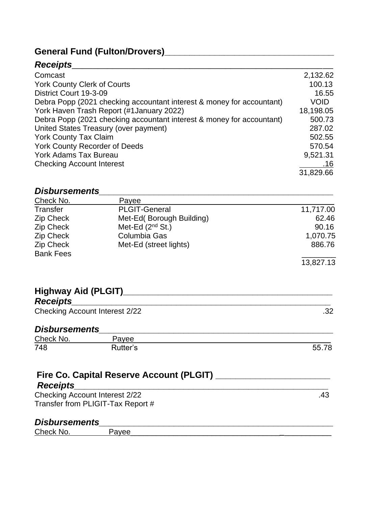## General Fund (Fulton/Drovers)<br> **General Fund (Fulton/Drovers)**

### *Receipts*\_\_\_\_\_\_\_\_\_\_\_\_\_\_\_\_\_\_\_\_\_\_\_\_\_\_\_\_\_\_\_\_\_\_\_\_\_\_\_\_\_\_\_\_\_\_\_\_\_\_\_

| Comcast                                                               | 2,132.62  |
|-----------------------------------------------------------------------|-----------|
| <b>York County Clerk of Courts</b>                                    | 100.13    |
| District Court 19-3-09                                                | 16.55     |
| Debra Popp (2021 checking accountant interest & money for accountant) | VOID      |
| York Haven Trash Report (#1 January 2022)                             | 18,198.05 |
| Debra Popp (2021 checking accountant interest & money for accountant) | 500.73    |
| United States Treasury (over payment)                                 | 287.02    |
| <b>York County Tax Claim</b>                                          | 502.55    |
| York County Recorder of Deeds                                         | 570.54    |
| York Adams Tax Bureau                                                 | 9,521.31  |
| <b>Checking Account Interest</b>                                      | .16       |
|                                                                       | 31,829.66 |

### *Disbursements\_\_\_\_\_\_\_\_\_\_\_\_\_\_\_\_\_\_\_\_\_\_\_\_\_\_\_\_\_\_\_\_\_\_\_\_\_\_\_\_\_\_\_\_\_\_\_*

| Check No.        | Payee                    |           |
|------------------|--------------------------|-----------|
| Transfer         | <b>PLGIT-General</b>     | 11,717.00 |
| Zip Check        | Met-Ed(Borough Building) | 62.46     |
| Zip Check        | Met-Ed $(2^{nd}$ St.)    | 90.16     |
| Zip Check        | Columbia Gas             | 1,070.75  |
| Zip Check        | Met-Ed (street lights)   | 886.76    |
| <b>Bank Fees</b> |                          |           |
|                  |                          | 13,827.13 |

| <b>Highway Aid (PLGIT)</b>     |  |
|--------------------------------|--|
| <b>Receipts</b>                |  |
| Checking Account Interest 2/22 |  |

| Checking Account Interest 2/22 |  |
|--------------------------------|--|

### *Disbursements\_\_\_\_\_\_\_\_\_\_\_\_\_\_\_\_\_\_\_\_\_\_\_\_\_\_\_\_\_\_\_\_\_\_\_\_\_\_\_\_\_\_\_\_\_\_\_*

| Check No. | IVAA     |     |
|-----------|----------|-----|
| 748       | utter's: | n'n |

| Fire Co. Capital Reserve Account (PLGIT)<br><b>Receipts</b> |     |
|-------------------------------------------------------------|-----|
| Checking Account Interest 2/22                              | .43 |
| Transfer from PLIGIT-Tax Report #                           |     |
|                                                             |     |

### *Disbursements\_\_\_\_\_\_\_\_\_\_\_\_\_\_\_\_\_\_\_\_\_\_\_\_\_\_\_\_\_\_\_\_\_\_\_\_\_\_\_\_\_\_\_\_\_\_\_*

| Check No.<br>Payee |  |
|--------------------|--|
|--------------------|--|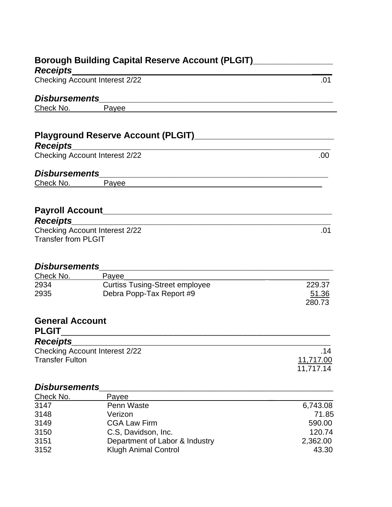| Borough Building Capital Reserve Account (PLGIT)_________________ |                                                                                                                                  |                        |  |
|-------------------------------------------------------------------|----------------------------------------------------------------------------------------------------------------------------------|------------------------|--|
| <b>Receipts</b>                                                   |                                                                                                                                  |                        |  |
|                                                                   | Checking Account Interest 2/22                                                                                                   | .01                    |  |
| <b>Disbursements</b>                                              | <u> 1989 - Johann Stein, margaret eta biztanleria (h. 1989).</u>                                                                 |                        |  |
| $Check$ No. $\_\_$                                                | Payee_<br><u> 1980 - Jan Samuel Barbara, político establecido en la provincia de la provincia de la provincia de la provinci</u> |                        |  |
|                                                                   |                                                                                                                                  |                        |  |
|                                                                   |                                                                                                                                  |                        |  |
| <b>Receipts</b>                                                   |                                                                                                                                  |                        |  |
|                                                                   | <b>Checking Account Interest 2/22</b>                                                                                            | .00                    |  |
|                                                                   |                                                                                                                                  |                        |  |
| $Check$ No. $\_\_$                                                | Payee<br><u> 1980 - Johann John Stoff, deutscher Stoff und der Stoff und der Stoff und der Stoff und der Stoff und der Stoff</u> |                        |  |
|                                                                   |                                                                                                                                  |                        |  |
|                                                                   |                                                                                                                                  |                        |  |
| <b>Receipts</b>                                                   |                                                                                                                                  |                        |  |
| <b>Transfer from PLGIT</b>                                        | <b>Checking Account Interest 2/22</b>                                                                                            | .01                    |  |
|                                                                   |                                                                                                                                  |                        |  |
| Check No.                                                         | Payee                                                                                                                            |                        |  |
| 2934                                                              | <b>Curtiss Tusing-Street employee</b>                                                                                            | 229.37                 |  |
| 2935                                                              | Debra Popp-Tax Report #9                                                                                                         | 51.36<br>280.73        |  |
|                                                                   |                                                                                                                                  |                        |  |
| <b>General Account</b><br><b>PLGIT</b>                            | <u> 1980 - Jan James James Barbara, martin da kasar James Barbara (j. 1918)</u>                                                  |                        |  |
| <b>Receipts</b>                                                   |                                                                                                                                  |                        |  |
|                                                                   | <b>Checking Account Interest 2/22</b>                                                                                            | .14                    |  |
| <b>Transfer Fulton</b>                                            |                                                                                                                                  | 11,717.00<br>11,717.14 |  |
| <b>Disbursements</b>                                              |                                                                                                                                  |                        |  |
| Check No.                                                         | Payee                                                                                                                            |                        |  |
| 3147                                                              | Penn Waste                                                                                                                       | 6,743.08               |  |
| 3148                                                              | Verizon                                                                                                                          | 71.85                  |  |
| 3149                                                              | <b>CGA Law Firm</b>                                                                                                              | 590.00                 |  |
| 3150                                                              | C.S, Davidson, Inc.                                                                                                              | 120.74                 |  |
| 3151                                                              | Department of Labor & Industry                                                                                                   | 2,362.00               |  |
| 3152                                                              | <b>Klugh Animal Control</b>                                                                                                      | 43.30                  |  |